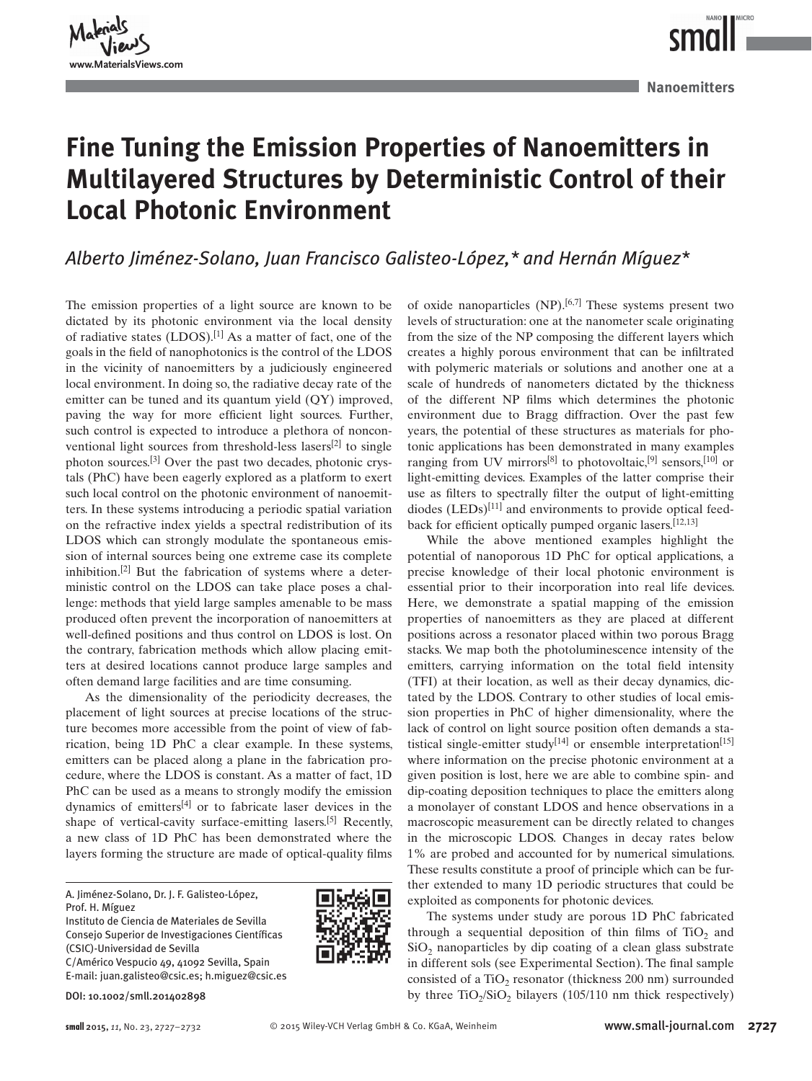**NANO**  $M$  *M*  $ICRC$ 

# **Fine Tuning the Emission Properties of Nanoemitters in Multilayered Structures by Deterministic Control of their Local Photonic Environment**

Alberto Jiménez-Solano, Juan Francisco Galisteo-López,\* and Hernán Míquez\*

 The emission properties of a light source are known to be dictated by its photonic environment via the local density of radiative states  $(LDOS).$ <sup>[1]</sup> As a matter of fact, one of the goals in the field of nanophotonics is the control of the LDOS in the vicinity of nanoemitters by a judiciously engineered local environment. In doing so, the radiative decay rate of the emitter can be tuned and its quantum yield (QY) improved, paving the way for more efficient light sources. Further, such control is expected to introduce a plethora of nonconventional light sources from threshold-less lasers $[2]$  to single photon sources.  $[3]$  Over the past two decades, photonic crystals (PhC) have been eagerly explored as a platform to exert such local control on the photonic environment of nanoemitters. In these systems introducing a periodic spatial variation on the refractive index yields a spectral redistribution of its LDOS which can strongly modulate the spontaneous emission of internal sources being one extreme case its complete inhibition. $[2]$  But the fabrication of systems where a deterministic control on the LDOS can take place poses a challenge: methods that yield large samples amenable to be mass produced often prevent the incorporation of nanoemitters at well-defined positions and thus control on LDOS is lost. On the contrary, fabrication methods which allow placing emitters at desired locations cannot produce large samples and often demand large facilities and are time consuming.

 As the dimensionality of the periodicity decreases, the placement of light sources at precise locations of the structure becomes more accessible from the point of view of fabrication, being 1D PhC a clear example. In these systems, emitters can be placed along a plane in the fabrication procedure, where the LDOS is constant. As a matter of fact, 1D PhC can be used as a means to strongly modify the emission dynamics of emitters<sup>[4]</sup> or to fabricate laser devices in the shape of vertical-cavity surface-emitting lasers.  $[5]$  Recently, a new class of 1D PhC has been demonstrated where the layers forming the structure are made of optical-quality films

 A. Jiménez-Solano, Dr. J. F. Galisteo-López, Prof. H. Míguez

 Instituto de Ciencia de Materiales de Sevilla Consejo Superior de Investigaciones Científicas (CSIC)-Universidad de Sevilla C/Américo Vespucio 49, 41092 Sevilla, Spain E-mail: juan.galisteo@csic.es; h.miguez@csic.es

of oxide nanoparticles  $(NP)$ .  $[6,7]$  These systems present two levels of structuration: one at the nanometer scale originating from the size of the NP composing the different layers which creates a highly porous environment that can be infiltrated with polymeric materials or solutions and another one at a scale of hundreds of nanometers dictated by the thickness of the different NP films which determines the photonic environment due to Bragg diffraction. Over the past few years, the potential of these structures as materials for photonic applications has been demonstrated in many examples ranging from UV mirrors<sup>[8]</sup> to photovoltaic,<sup>[9]</sup> sensors,<sup>[10]</sup> or light-emitting devices. Examples of the latter comprise their use as filters to spectrally filter the output of light-emitting diodes  $(LEDs)^{[11]}$  and environments to provide optical feedback for efficient optically pumped organic lasers. [12,13]

 While the above mentioned examples highlight the potential of nanoporous 1D PhC for optical applications, a precise knowledge of their local photonic environment is essential prior to their incorporation into real life devices. Here, we demonstrate a spatial mapping of the emission properties of nanoemitters as they are placed at different positions across a resonator placed within two porous Bragg stacks. We map both the photoluminescence intensity of the emitters, carrying information on the total field intensity (TFI) at their location, as well as their decay dynamics, dictated by the LDOS. Contrary to other studies of local emission properties in PhC of higher dimensionality, where the lack of control on light source position often demands a statistical single-emitter study<sup>[14]</sup> or ensemble interpretation<sup>[15]</sup> where information on the precise photonic environment at a given position is lost, here we are able to combine spin- and dip-coating deposition techniques to place the emitters along a monolayer of constant LDOS and hence observations in a macroscopic measurement can be directly related to changes in the microscopic LDOS. Changes in decay rates below 1% are probed and accounted for by numerical simulations. These results constitute a proof of principle which can be further extended to many 1D periodic structures that could be exploited as components for photonic devices.

 The systems under study are porous 1D PhC fabricated through a sequential deposition of thin films of  $TiO<sub>2</sub>$  and  $SiO<sub>2</sub>$  nanoparticles by dip coating of a clean glass substrate in different sols (see Experimental Section). The final sample consisted of a TiO<sub>2</sub> resonator (thickness 200 nm) surrounded **DOI:** 10.1002/smll.201402898 by three  $\text{TiO}_2/\text{SiO}_2$  bilayers (105/110 nm thick respectively)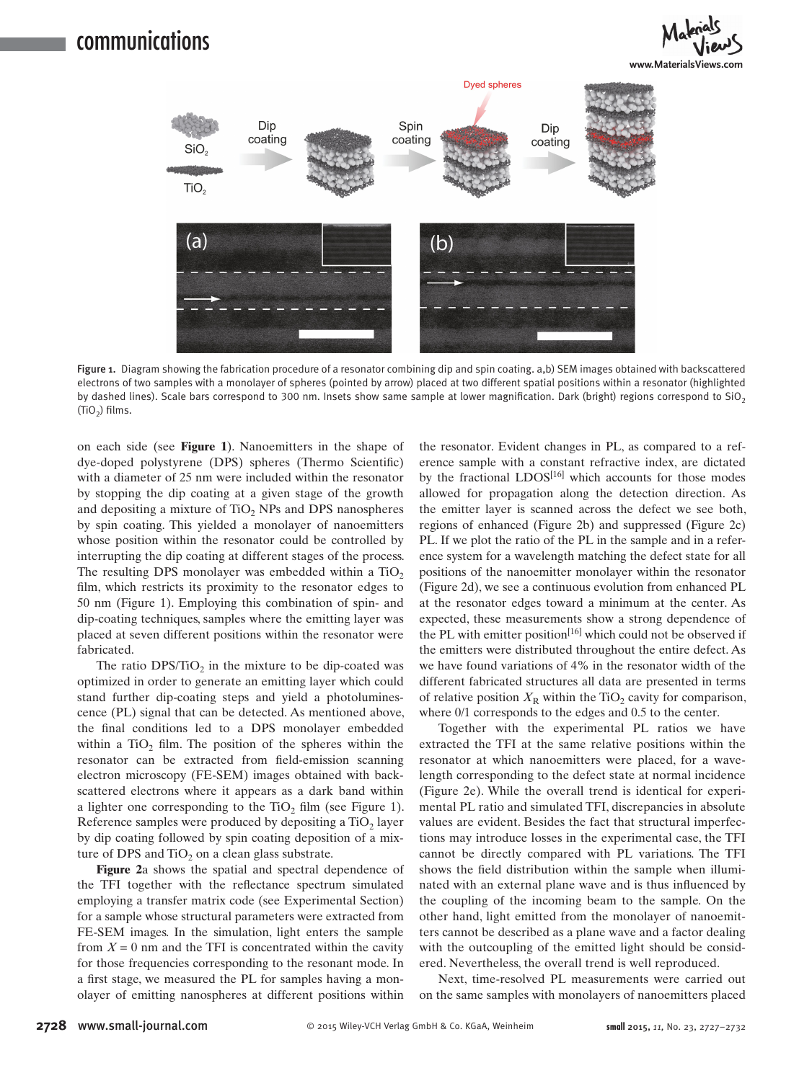



Figure 1. Diagram showing the fabrication procedure of a resonator combining dip and spin coating. a,b) SEM images obtained with backscattered electrons of two samples with a monolayer of spheres (pointed by arrow) placed at two different spatial positions within a resonator (highlighted by dashed lines). Scale bars correspond to 300 nm. Insets show same sample at lower magnification. Dark (bright) regions correspond to SiO<sub>2</sub>  $(TIO<sub>2</sub>)$  films.

on each side (see **Figure 1** ). Nanoemitters in the shape of dye-doped polystyrene (DPS) spheres (Thermo Scientific) with a diameter of 25 nm were included within the resonator by stopping the dip coating at a given stage of the growth and depositing a mixture of  $TiO<sub>2</sub>$  NPs and DPS nanospheres by spin coating. This yielded a monolayer of nanoemitters whose position within the resonator could be controlled by interrupting the dip coating at different stages of the process. The resulting DPS monolayer was embedded within a  $TiO<sub>2</sub>$ film, which restricts its proximity to the resonator edges to 50 nm (Figure 1). Employing this combination of spin- and dip-coating techniques, samples where the emitting layer was placed at seven different positions within the resonator were fabricated.

The ratio  $DPS/TiO<sub>2</sub>$  in the mixture to be dip-coated was optimized in order to generate an emitting layer which could stand further dip-coating steps and yield a photoluminescence (PL) signal that can be detected. As mentioned above, the final conditions led to a DPS monolayer embedded within a TiO<sub>2</sub> film. The position of the spheres within the resonator can be extracted from field-emission scanning electron microscopy (FE-SEM) images obtained with backscattered electrons where it appears as a dark band within a lighter one corresponding to the TiO<sub>2</sub> film (see Figure 1). Reference samples were produced by depositing a  $TiO<sub>2</sub>$  layer by dip coating followed by spin coating deposition of a mixture of DPS and  $TiO<sub>2</sub>$  on a clean glass substrate.

**Figure 2** a shows the spatial and spectral dependence of the TFI together with the reflectance spectrum simulated employing a transfer matrix code (see Experimental Section) for a sample whose structural parameters were extracted from FE-SEM images. In the simulation, light enters the sample from  $X = 0$  nm and the TFI is concentrated within the cavity for those frequencies corresponding to the resonant mode. In a first stage, we measured the PL for samples having a monolayer of emitting nanospheres at different positions within the resonator. Evident changes in PL, as compared to a reference sample with a constant refractive index, are dictated by the fractional  $LDOS^{[16]}$  which accounts for those modes allowed for propagation along the detection direction. As the emitter layer is scanned across the defect we see both, regions of enhanced (Figure 2b) and suppressed (Figure 2c) PL. If we plot the ratio of the PL in the sample and in a reference system for a wavelength matching the defect state for all positions of the nanoemitter monolayer within the resonator (Figure 2d), we see a continuous evolution from enhanced PL at the resonator edges toward a minimum at the center. As expected, these measurements show a strong dependence of the PL with emitter position<sup>[16]</sup> which could not be observed if the emitters were distributed throughout the entire defect. As we have found variations of 4% in the resonator width of the different fabricated structures all data are presented in terms of relative position  $X_R$  within the TiO<sub>2</sub> cavity for comparison, where 0/1 corresponds to the edges and 0.5 to the center.

 Together with the experimental PL ratios we have extracted the TFI at the same relative positions within the resonator at which nanoemitters were placed, for a wavelength corresponding to the defect state at normal incidence (Figure 2e). While the overall trend is identical for experimental PL ratio and simulated TFI, discrepancies in absolute values are evident. Besides the fact that structural imperfections may introduce losses in the experimental case, the TFI cannot be directly compared with PL variations. The TFI shows the field distribution within the sample when illuminated with an external plane wave and is thus influenced by the coupling of the incoming beam to the sample. On the other hand, light emitted from the monolayer of nanoemitters cannot be described as a plane wave and a factor dealing with the outcoupling of the emitted light should be considered. Nevertheless, the overall trend is well reproduced.

 Next, time-resolved PL measurements were carried out on the same samples with monolayers of nanoemitters placed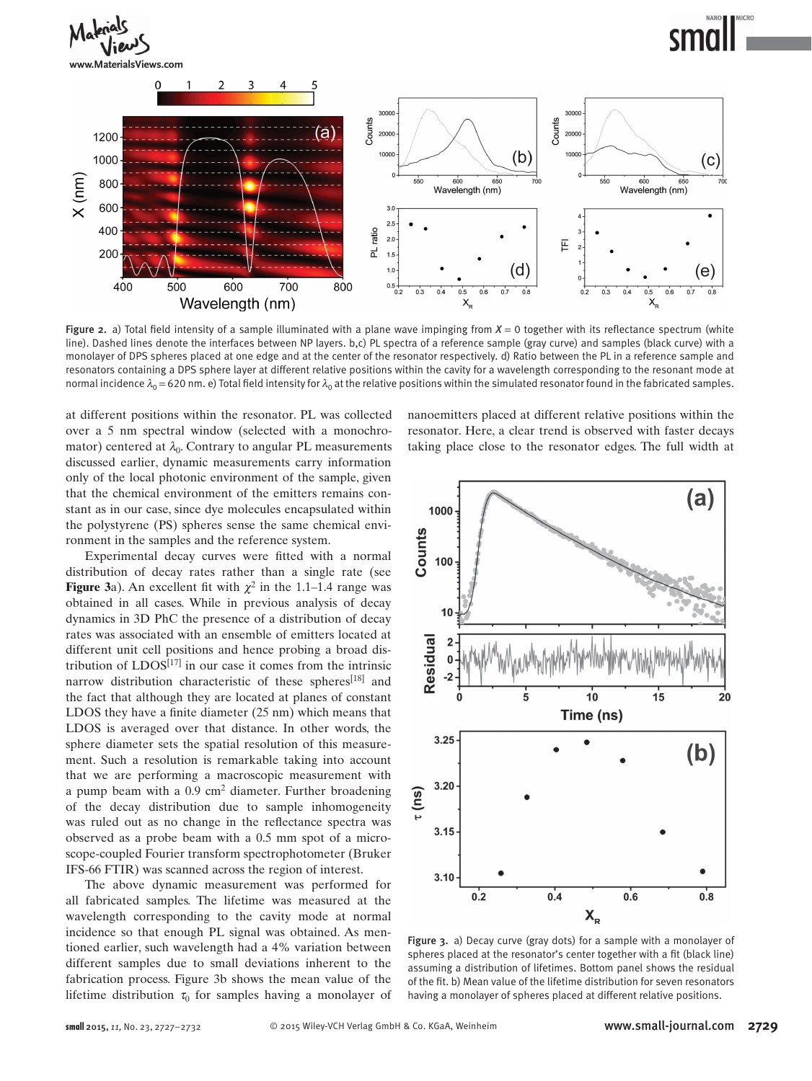

Figure 2. a) Total field intensity of a sample illuminated with a plane wave impinging from  $X = 0$  together with its reflectance spectrum (white line). Dashed lines denote the interfaces between NP layers. b,c) PL spectra of a reference sample (gray curve) and samples (black curve) with a monolayer of DPS spheres placed at one edge and at the center of the resonator respectively. d) Ratio between the PL in a reference sample and resonators containing a DPS sphere layer at different relative positions within the cavity for a wavelength corresponding to the resonant mode at normal incidence  $\lambda_0$  = 620 nm. e) Total field intensity for  $\lambda_0$  at the relative positions within the simulated resonator found in the fabricated samples.

at different positions within the resonator. PL was collected over a 5 nm spectral window (selected with a monochromator) centered at  $\lambda_0$ . Contrary to angular PL measurements discussed earlier, dynamic measurements carry information only of the local photonic environment of the sample, given that the chemical environment of the emitters remains constant as in our case, since dye molecules encapsulated within the polystyrene (PS) spheres sense the same chemical environment in the samples and the reference system.

Experimental decay curves were fitted with a normal distribution of decay rates rather than a single rate (see **Figure** 3a). An excellent fit with  $\chi^2$  in the 1.1–1.4 range was obtained in all cases. While in previous analysis of decay dynamics in 3D PhC the presence of a distribution of decay rates was associated with an ensemble of emitters located at different unit cell positions and hence probing a broad distribution of  $LDOS^{[17]}$  in our case it comes from the intrinsic narrow distribution characteristic of these spheres<sup>[18]</sup> and the fact that although they are located at planes of constant LDOS they have a finite diameter  $(25 \text{ nm})$  which means that LDOS is averaged over that distance. In other words, the sphere diameter sets the spatial resolution of this measurement. Such a resolution is remarkable taking into account that we are performing a macroscopic measurement with a pump beam with a  $0.9 \text{ cm}^2$  diameter. Further broadening of the decay distribution due to sample inhomogeneity was ruled out as no change in the reflectance spectra was observed as a probe beam with a 0.5 mm spot of a microscope-coupled Fourier transform spectrophotometer (Bruker IFS-66 FTIR) was scanned across the region of interest.

 The above dynamic measurement was performed for all fabricated samples. The lifetime was measured at the wavelength corresponding to the cavity mode at normal incidence so that enough PL signal was obtained. As mentioned earlier, such wavelength had a 4% variation between different samples due to small deviations inherent to the fabrication process. Figure 3b shows the mean value of the lifetime distribution  $\tau_0$  for samples having a monolayer of nanoemitters placed at different relative positions within the resonator. Here, a clear trend is observed with faster decays taking place close to the resonator edges. The full width at



Figure 3. a) Decay curve (gray dots) for a sample with a monolayer of spheres placed at the resonator's center together with a fit (black line) assuming a distribution of lifetimes. Bottom panel shows the residual of the fit. b) Mean value of the lifetime distribution for seven resonators having a monolayer of spheres placed at different relative positions.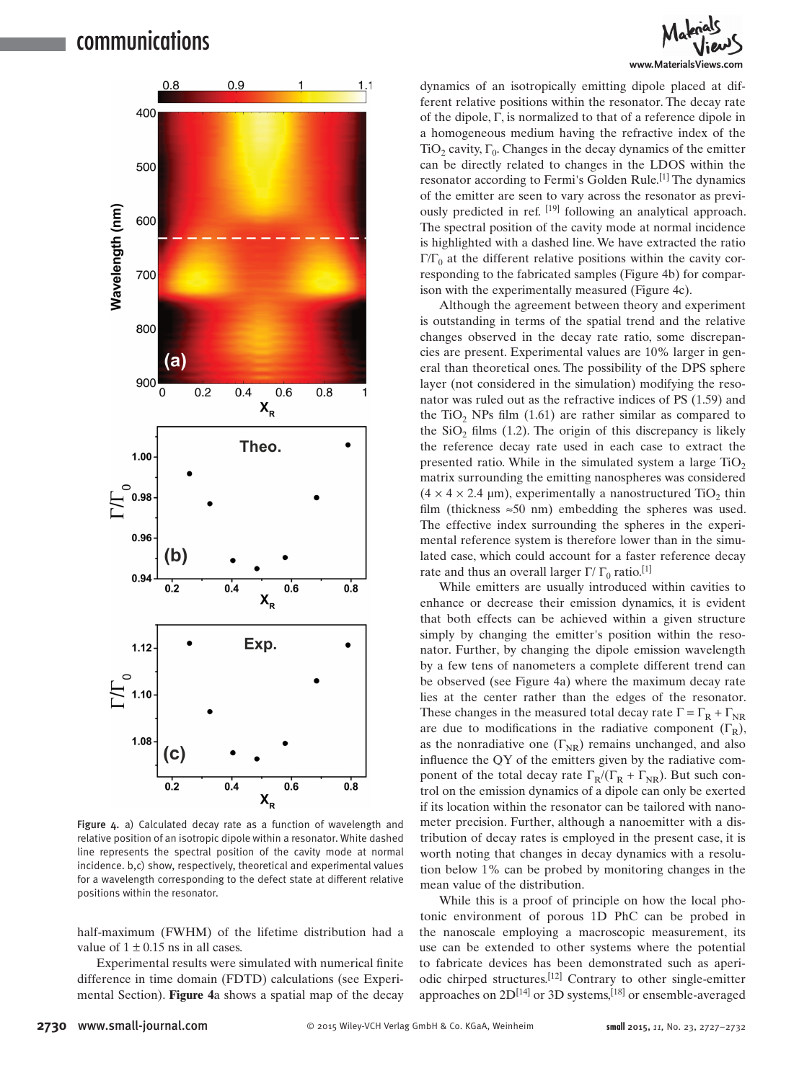### communications





Figure 4. a) Calculated decay rate as a function of wavelength and relative position of an isotropic dipole within a resonator. White dashed line represents the spectral position of the cavity mode at normal incidence. b,c) show, respectively, theoretical and experimental values for a wavelength corresponding to the defect state at different relative positions within the resonator.

half-maximum (FWHM) of the lifetime distribution had a value of  $1 \pm 0.15$  ns in all cases.

Experimental results were simulated with numerical finite difference in time domain (FDTD) calculations (see Experimental Section). **Figure 4** a shows a spatial map of the decay dynamics of an isotropically emitting dipole placed at different relative positions within the resonator. The decay rate of the dipole, Γ, is normalized to that of a reference dipole in a homogeneous medium having the refractive index of the TiO<sub>2</sub> cavity,  $\Gamma_0$ . Changes in the decay dynamics of the emitter can be directly related to changes in the LDOS within the resonator according to Fermi's Golden Rule.<sup>[1]</sup> The dynamics of the emitter are seen to vary across the resonator as previously predicted in ref. [19] following an analytical approach. The spectral position of the cavity mode at normal incidence is highlighted with a dashed line. We have extracted the ratio  $\Gamma/\Gamma_0$  at the different relative positions within the cavity corresponding to the fabricated samples (Figure 4b) for comparison with the experimentally measured (Figure 4c).

 Although the agreement between theory and experiment is outstanding in terms of the spatial trend and the relative changes observed in the decay rate ratio, some discrepancies are present. Experimental values are 10% larger in general than theoretical ones. The possibility of the DPS sphere layer (not considered in the simulation) modifying the resonator was ruled out as the refractive indices of PS (1.59) and the TiO<sub>2</sub> NPs film  $(1.61)$  are rather similar as compared to the  $SiO<sub>2</sub>$  films (1.2). The origin of this discrepancy is likely the reference decay rate used in each case to extract the presented ratio. While in the simulated system a large  $TiO<sub>2</sub>$ matrix surrounding the emitting nanospheres was considered  $(4 \times 4 \times 2.4 \mu m)$ , experimentally a nanostructured TiO<sub>2</sub> thin film (thickness  $\approx 50$  nm) embedding the spheres was used. The effective index surrounding the spheres in the experimental reference system is therefore lower than in the simulated case, which could account for a faster reference decay rate and thus an overall larger  $\Gamma/\Gamma_0$  ratio.<sup>[1]</sup>

 While emitters are usually introduced within cavities to enhance or decrease their emission dynamics, it is evident that both effects can be achieved within a given structure simply by changing the emitter's position within the resonator. Further, by changing the dipole emission wavelength by a few tens of nanometers a complete different trend can be observed (see Figure 4a) where the maximum decay rate lies at the center rather than the edges of the resonator. These changes in the measured total decay rate  $\Gamma = \Gamma_R + \Gamma_{NR}$ are due to modifications in the radiative component  $(\Gamma_R)$ , as the nonradiative one  $(\Gamma_{NR})$  remains unchanged, and also influence the QY of the emitters given by the radiative component of the total decay rate  $\Gamma_R/(\Gamma_R + \Gamma_{NR})$ . But such control on the emission dynamics of a dipole can only be exerted if its location within the resonator can be tailored with nanometer precision. Further, although a nanoemitter with a distribution of decay rates is employed in the present case, it is worth noting that changes in decay dynamics with a resolution below 1% can be probed by monitoring changes in the mean value of the distribution.

 While this is a proof of principle on how the local photonic environment of porous 1D PhC can be probed in the nanoscale employing a macroscopic measurement, its use can be extended to other systems where the potential to fabricate devices has been demonstrated such as aperiodic chirped structures.<sup>[12]</sup> Contrary to other single-emitter approaches on  $2D^{[14]}$  or 3D systems,  $^{[18]}$  or ensemble-averaged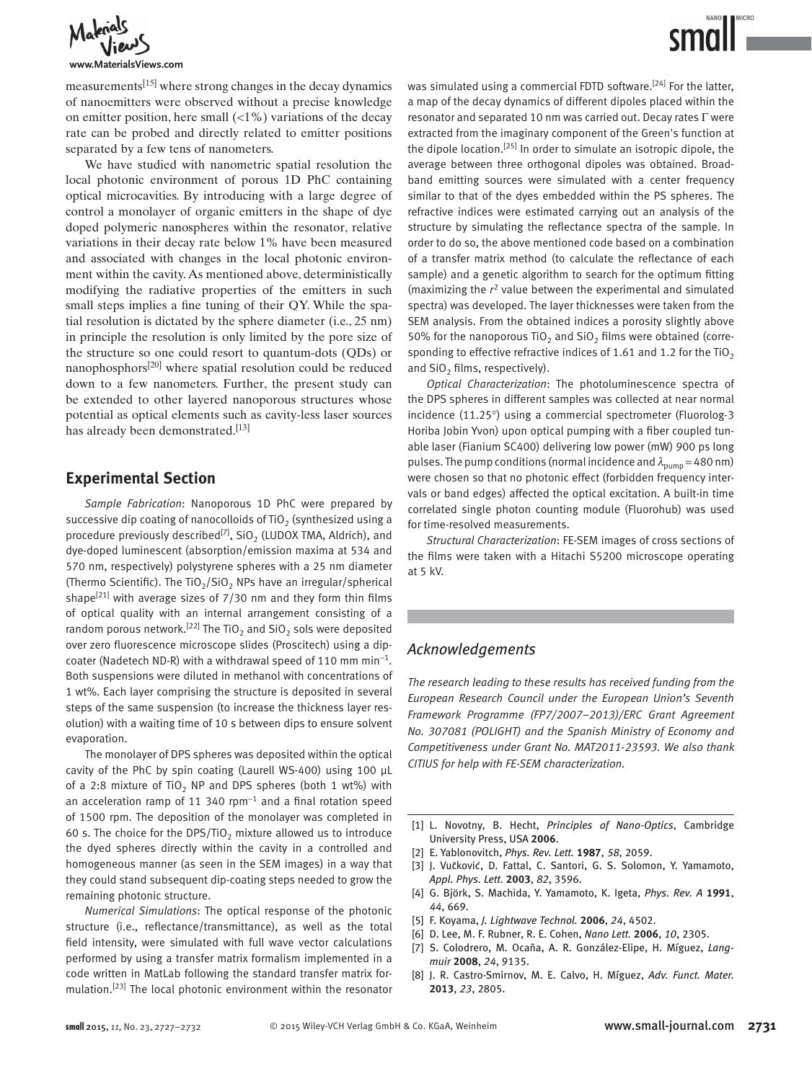

#### **www.MaterialsViews.com**

measurements<sup>[15]</sup> where strong changes in the decay dynamics of nanoemitters were observed without a precise knowledge on emitter position, here small  $\left($ <1%) variations of the decay rate can be probed and directly related to emitter positions separated by a few tens of nanometers.

 We have studied with nanometric spatial resolution the local photonic environment of porous 1D PhC containing optical microcavities. By introducing with a large degree of control a monolayer of organic emitters in the shape of dye doped polymeric nanospheres within the resonator, relative variations in their decay rate below 1% have been measured and associated with changes in the local photonic environment within the cavity. As mentioned above, deterministically modifying the radiative properties of the emitters in such small steps implies a fine tuning of their QY. While the spatial resolution is dictated by the sphere diameter (i.e., 25 nm) in principle the resolution is only limited by the pore size of the structure so one could resort to quantum-dots (QDs) or nanophosphors $[20]$  where spatial resolution could be reduced down to a few nanometers. Further, the present study can be extended to other layered nanoporous structures whose potential as optical elements such as cavity-less laser sources has already been demonstrated.<sup>[13]</sup>

### **Experimental Section**

Sample Fabrication: Nanoporous 1D PhC were prepared by successive dip coating of nanocolloids of TiO<sub>2</sub> (synthesized using a procedure previously described<sup>[7]</sup>, SiO<sub>2</sub> (LUDOX TMA, Aldrich), and dye-doped luminescent (absorption/emission maxima at 534 and 570 nm, respectively) polystyrene spheres with a 25 nm diameter (Thermo Scientific). The TiO<sub>2</sub>/SiO<sub>2</sub> NPs have an irregular/spherical shape<sup>[21]</sup> with average sizes of  $7/30$  nm and they form thin films of optical quality with an internal arrangement consisting of a random porous network.<sup>[22]</sup> The TiO<sub>2</sub> and SiO<sub>2</sub> sols were deposited over zero fluorescence microscope slides (Proscitech) using a dipcoater (Nadetech ND-R) with a withdrawal speed of 110 mm min<sup>-1</sup>. Both suspensions were diluted in methanol with concentrations of 1 wt%. Each layer comprising the structure is deposited in several steps of the same suspension (to increase the thickness layer resolution) with a waiting time of 10 s between dips to ensure solvent evaporation.

 The monolayer of DPS spheres was deposited within the optical cavity of the PhC by spin coating (Laurell WS-400) using 100 µL of a 2:8 mixture of TiO<sub>2</sub> NP and DPS spheres (both 1 wt%) with an acceleration ramp of 11 340 rpm $^{-1}$  and a final rotation speed of 1500 rpm. The deposition of the monolayer was completed in 60 s. The choice for the DPS/TiO<sub>2</sub> mixture allowed us to introduce the dyed spheres directly within the cavity in a controlled and homogeneous manner (as seen in the SEM images) in a way that they could stand subsequent dip-coating steps needed to grow the remaining photonic structure.

*Numerical Simulations*: The optical response of the photonic structure (i.e., reflectance/transmittance), as well as the total field intensity, were simulated with full wave vector calculations performed by using a transfer matrix formalism implemented in a code written in MatLab following the standard transfer matrix formulation.<sup>[23]</sup> The local photonic environment within the resonator

was simulated using a commercial FDTD software.<sup>[24]</sup> For the latter, a map of the decay dynamics of different dipoles placed within the resonator and separated 10 nm was carried out. Decay rates Γ were extracted from the imaginary component of the Green's function at the dipole location.<sup>[25]</sup> In order to simulate an isotropic dipole, the average between three orthogonal dipoles was obtained. Broadband emitting sources were simulated with a center frequency similar to that of the dyes embedded within the PS spheres. The refractive indices were estimated carrying out an analysis of the structure by simulating the reflectance spectra of the sample. In order to do so, the above mentioned code based on a combination of a transfer matrix method (to calculate the reflectance of each sample) and a genetic algorithm to search for the optimum fitting (maximizing the *r*2 value between the experimental and simulated spectra) was developed. The layer thicknesses were taken from the SEM analysis. From the obtained indices a porosity slightly above 50% for the nanoporous TiO<sub>2</sub> and SiO<sub>2</sub> films were obtained (corresponding to effective refractive indices of 1.61 and 1.2 for the TiO<sub>2</sub> and  $SiO<sub>2</sub>$  films, respectively).

*Optical Characterization*: The photoluminescence spectra of the DPS spheres in different samples was collected at near normal incidence (11.25°) using a commercial spectrometer (Fluorolog-3 Horiba Jobin Yvon) upon optical pumping with a fiber coupled tunable laser (Fianium SC400) delivering low power (mW) 900 ps long pulses. The pump conditions (normal incidence and  $\lambda_{\text{numn}} = 480 \text{ nm}$ ) were chosen so that no photonic effect (forbidden frequency intervals or band edges) affected the optical excitation. A built-in time correlated single photon counting module (Fluorohub) was used for time-resolved measurements.

*Structural Characterization* : FE-SEM images of cross sections of the films were taken with a Hitachi S5200 microscope operating at 5 kV.

#### *Acknowledgements*

 *The research leading to these results has received funding from the European Research Council under the European Union's Seventh Framework Programme (FP7/2007–2013)/ERC Grant Agreement No. 307081 (POLIGHT) and the Spanish Ministry of Economy and Competitiveness under Grant No. MAT2011-23593. We also thank CITIUS for help with FE-SEM characterization.* 

- [1] L. Novotny, B. Hecht, *Principles of Nano-Optics*, Cambridge University Press, USA 2006.
- [2] E. Yablonovitch , *Phys. Rev. Lett.* **1987** , *58* , 2059 .
- [3] J. Vučković, D. Fattal, C. Santori, G. S. Solomon, Y. Yamamoto, *Appl. Phys. Lett.* **2003** , *82* , 3596 .
- [4] G. Björk, S. Machida, Y. Yamamoto, K. Igeta, *Phys. Rev. A* 1991, *44* , 669 .
- [5] F. Koyama , *J. Lightwave Technol.* **2006** , *24* , 4502 .
- [6] D. Lee, M. F. Rubner, R. E. Cohen, *Nano Lett.* **2006**, 10, 2305.
- [7] S. Colodrero, M. Ocaña, A. R. González-Elipe, H. Míguez, Lang*muir* **2008** , *24* , 9135 .
- [8] J. R. Castro-Smirnov, M. E. Calvo, H. Míguez, Adv. Funct. Mater.  **2013** , *23* , 2805 .